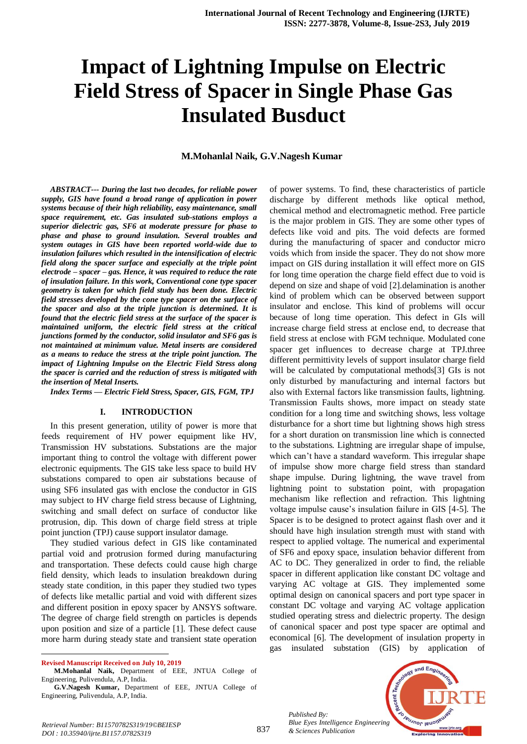# **Impact of Lightning Impulse on Electric Field Stress of Spacer in Single Phase Gas Insulated Busduct**

#### **M.Mohanlal Naik, G.V.Nagesh Kumar**

*ABSTRACT--- During the last two decades, for reliable power supply, GIS have found a broad range of application in power systems because of their high reliability, easy maintenance, small space requirement, etc. Gas insulated sub-stations employs a superior dielectric gas, SF6 at moderate pressure for phase to phase and phase to ground insulation. Several troubles and system outages in GIS have been reported world-wide due to insulation failures which resulted in the intensification of electric field along the spacer surface and especially at the triple point electrode – spacer – gas. Hence, it was required to reduce the rate of insulation failure. In this work, Conventional cone type spacer geometry is taken for which field study has been done. Electric field stresses developed by the cone type spacer on the surface of the spacer and also at the triple junction is determined. It is found that the electric field stress at the surface of the spacer is maintained uniform, the electric field stress at the critical junctions formed by the conductor, solid insulator and SF6 gas is not maintained at minimum value. Metal inserts are considered as a means to reduce the stress at the triple point junction. The impact of Lightning Impulse on the Electric Field Stress along the spacer is carried and the reduction of stress is mitigated with the insertion of Metal Inserts.*

*Index Terms — Electric Field Stress, Spacer, GIS, FGM, TPJ*

#### **I. INTRODUCTION**

In this present generation, utility of power is more that feeds requirement of HV power equipment like HV, Transmission HV substations. Substations are the major important thing to control the voltage with different power electronic equipments. The GIS take less space to build HV substations compared to open air substations because of using SF6 insulated gas with enclose the conductor in GIS may subject to HV charge field stress because of Lightning, switching and small defect on surface of conductor like protrusion, dip. This down of charge field stress at triple point junction (TPJ) cause support insulator damage.

They studied various defect in GIS like contaminated partial void and protrusion formed during manufacturing and transportation. These defects could cause high charge field density, which leads to insulation breakdown during steady state condition, in this paper they studied two types of defects like metallic partial and void with different sizes and different position in epoxy spacer by ANSYS software. The degree of charge field strength on particles is depends upon position and size of a particle [1]. These defect cause more harm during steady state and transient state operation

 $\ddot{\phantom{a}}$ 

of power systems. To find, these characteristics of particle discharge by different methods like optical method, chemical method and electromagnetic method. Free particle is the major problem in GIS. They are some other types of defects like void and pits. The void defects are formed during the manufacturing of spacer and conductor micro voids which from inside the spacer. They do not show more impact on GIS during installation it will effect more on GIS for long time operation the charge field effect due to void is depend on size and shape of void [2].delamination is another kind of problem which can be observed between support insulator and enclose. This kind of problems will occur because of long time operation. This defect in GIs will increase charge field stress at enclose end, to decrease that field stress at enclose with FGM technique. Modulated cone spacer get influences to decrease charge at TPJ.three different permittivity levels of support insulator charge field will be calculated by computational methods[3] GIs is not only disturbed by manufacturing and internal factors but also with External factors like transmission faults, lightning. Transmission Faults shows, more impact on steady state condition for a long time and switching shows, less voltage disturbance for a short time but lightning shows high stress for a short duration on transmission line which is connected to the substations. Lightning are irregular shape of impulse, which can't have a standard waveform. This irregular shape of impulse show more charge field stress than standard shape impulse. During lightning, the wave travel from lightning point to substation point, with propagation mechanism like reflection and refraction. This lightning voltage impulse cause's insulation failure in GIS [4-5]. The Spacer is to be designed to protect against flash over and it should have high insulation strength must with stand with respect to applied voltage. The numerical and experimental of SF6 and epoxy space, insulation behavior different from AC to DC. They generalized in order to find, the reliable spacer in different application like constant DC voltage and varying AC voltage at GIS. They implemented some optimal design on canonical spacers and port type spacer in constant DC voltage and varying AC voltage application studied operating stress and dielectric property. The design of canonical spacer and post type spacer are optimal and economical [6]. The development of insulation property in gas insulated substation (GIS) by application of

*Published By: Blue Eyes Intelligence Engineering & Sciences Publication* 



**Revised Manuscript Received on July 10, 2019**

**M.Mohanlal Naik,** Department of EEE, JNTUA College of Engineering, Pulivendula, A.P, India.

**G.V.Nagesh Kumar,** Department of EEE, JNTUA College of Engineering, Pulivendula, A.P, India.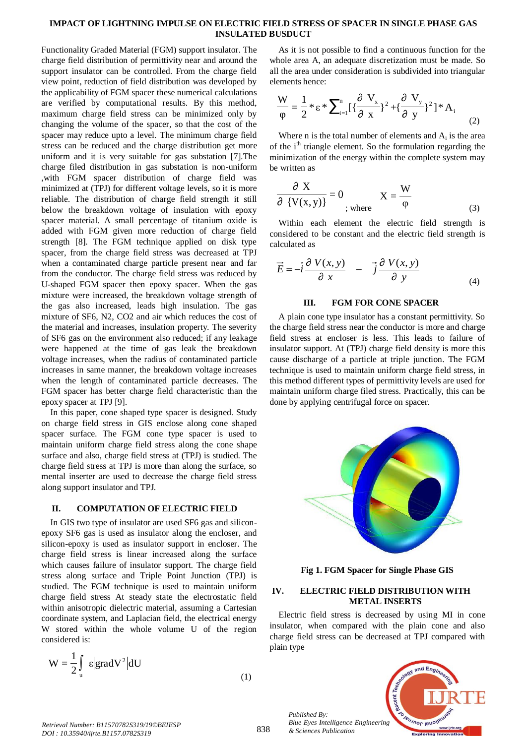#### **IMPACT OF LIGHTNING IMPULSE ON ELECTRIC FIELD STRESS OF SPACER IN SINGLE PHASE GAS INSULATED BUSDUCT**

Functionality Graded Material (FGM) support insulator. The charge field distribution of permittivity near and around the support insulator can be controlled. From the charge field view point, reduction of field distribution was developed by the applicability of FGM spacer these numerical calculations are verified by computational results. By this method, maximum charge field stress can be minimized only by changing the volume of the spacer, so that the cost of the spacer may reduce upto a level. The minimum charge field stress can be reduced and the charge distribution get more uniform and it is very suitable for gas substation [7].The charge filed distribution in gas substation is non-uniform ,with FGM spacer distribution of charge field was minimized at (TPJ) for different voltage levels, so it is more reliable. The distribution of charge field strength it still below the breakdown voltage of insulation with epoxy spacer material. A small percentage of titanium oxide is added with FGM given more reduction of charge field strength [8]. The FGM technique applied on disk type spacer, from the charge field stress was decreased at TPJ when a contaminated charge particle present near and far from the conductor. The charge field stress was reduced by U-shaped FGM spacer then epoxy spacer. When the gas mixture were increased, the breakdown voltage strength of the gas also increased, leads high insulation. The gas mixture of SF6, N2, CO2 and air which reduces the cost of the material and increases, insulation property. The severity of SF6 gas on the environment also reduced; if any leakage were happened at the time of gas leak the breakdown voltage increases, when the radius of contaminated particle increases in same manner, the breakdown voltage increases when the length of contaminated particle decreases. The FGM spacer has better charge field characteristic than the epoxy spacer at TPJ [9].

In this paper, cone shaped type spacer is designed. Study on charge field stress in GIS enclose along cone shaped spacer surface. The FGM cone type spacer is used to maintain uniform charge field stress along the cone shape surface and also, charge field stress at (TPJ) is studied. The charge field stress at TPJ is more than along the surface, so mental inserter are used to decrease the charge field stress along support insulator and TPJ.

#### **II. COMPUTATION OF ELECTRIC FIELD**

In GIS two type of insulator are used SF6 gas and siliconepoxy SF6 gas is used as insulator along the encloser, and silicon-epoxy is used as insulator support in encloser. The charge field stress is linear increased along the surface which causes failure of insulator support. The charge field stress along surface and Triple Point Junction (TPJ) is studied. The FGM technique is used to maintain uniform charge field stress At steady state the electrostatic field within anisotropic dielectric material, assuming a Cartesian coordinate system, and Laplacian field, the electrical energy W stored within the whole volume U of the region considered is:

$$
W = \frac{1}{2} \int_{u} \varepsilon |gradV^{2}|dU
$$

As it is not possible to find a continuous function for the whole area A, an adequate discretization must be made. So all the area under consideration is subdivided into triangular elements hence:

$$
\frac{W}{\varphi} = \frac{1}{2} * \varepsilon * \sum_{i=1}^{n} \left[ \left\{ \frac{\partial V_x}{\partial x} \right\}^2 + \left\{ \frac{\partial V_y}{\partial y} \right\}^2 \right] * A_i
$$
 (2)

Where  $n$  is the total number of elements and  $A_i$  is the area of the  $i<sup>th</sup>$  triangle element. So the formulation regarding the minimization of the energy within the complete system may be written as

$$
\frac{\partial X}{\partial \{V(x,y)\}} = 0 \qquad \qquad X = \frac{W}{\varphi}
$$
 (3)

Within each element the electric field strength is considered to be constant and the electric field strength is calculated as

$$
\vec{E} = -\vec{i}\frac{\partial V(x, y)}{\partial x} - \vec{j}\frac{\partial V(x, y)}{\partial y}
$$
(4)

#### **III. FGM FOR CONE SPACER**

A plain cone type insulator has a constant permittivity. So the charge field stress near the conductor is more and charge field stress at encloser is less. This leads to failure of insulator support. At (TPJ) charge field density is more this cause discharge of a particle at triple junction. The FGM technique is used to maintain uniform charge field stress, in this method different types of permittivity levels are used for maintain uniform charge filed stress. Practically, this can be done by applying centrifugal force on spacer.



**Fig 1. FGM Spacer for Single Phase GIS**

#### **IV. ELECTRIC FIELD DISTRIBUTION WITH METAL INSERTS**

Electric field stress is decreased by using MI in cone insulator, when compared with the plain cone and also charge field stress can be decreased at TPJ compared with plain type



(1)

*Published By:*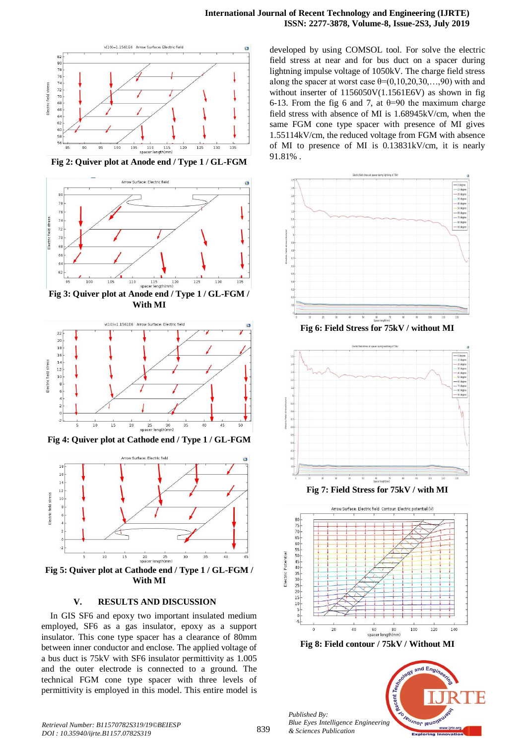

**Fig 2: Quiver plot at Anode end / Type 1 / GL-FGM**





**Fig 4: Quiver plot at Cathode end / Type 1 / GL-FGM**



**With MI**

#### **V. RESULTS AND DISCUSSION**

In GIS SF6 and epoxy two important insulated medium employed, SF6 as a gas insulator, epoxy as a support insulator. This cone type spacer has a clearance of 80mm between inner conductor and enclose. The applied voltage of a bus duct is 75kV with SF6 insulator permittivity as 1.005 and the outer electrode is connected to a ground. The technical FGM cone type spacer with three levels of permittivity is employed in this model. This entire model is developed by using COMSOL tool. For solve the electric field stress at near and for bus duct on a spacer during lightning impulse voltage of 1050kV. The charge field stress along the spacer at worst case  $\theta = (0,10,20,30,...,90)$  with and without inserter of 1156050V(1.1561E6V) as shown in fig 6-13. From the fig 6 and 7, at  $\theta$ =90 the maximum charge field stress with absence of MI is 1.68945kV/cm, when the same FGM cone type spacer with presence of MI gives 1.55114kV/cm, the reduced voltage from FGM with absence of MI to presence of MI is 0.13831kV/cm, it is nearly 91.81% .



**Fig 6: Field Stress for 75kV / without MI**



**Fig 7: Field Stress for 75kV / with MI**





nd Eng

Teumor leu

*Published By: Blue Eyes Intelligence Engineering & Sciences Publication* 

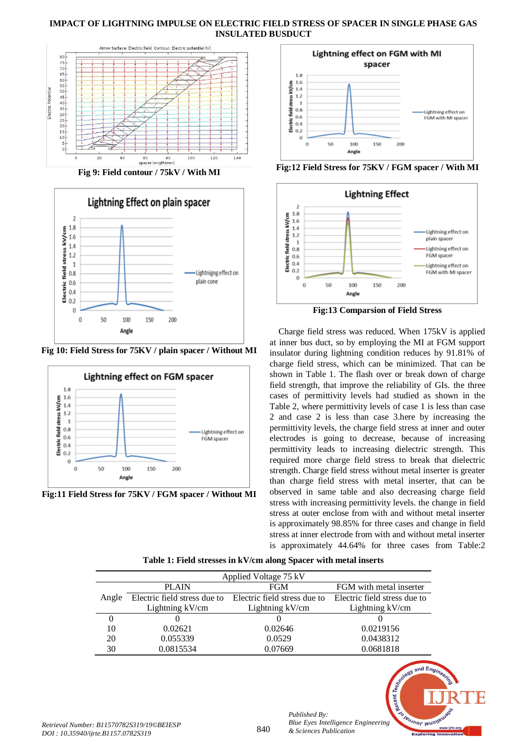## **IMPACT OF LIGHTNING IMPULSE ON ELECTRIC FIELD STRESS OF SPACER IN SINGLE PHASE GAS INSULATED BUSDUCT**



**Fig 9: Field contour / 75kV / With MI**



**Fig 10: Field Stress for 75KV / plain spacer / Without MI**



**Fig:11 Field Stress for 75KV / FGM spacer / Without MI**



**Fig:12 Field Stress for 75KV / FGM spacer / With MI**



**Fig:13 Comparsion of Field Stress**

Charge field stress was reduced. When 175kV is applied at inner bus duct, so by employing the MI at FGM support insulator during lightning condition reduces by 91.81% of charge field stress, which can be minimized. That can be shown in Table 1. The flash over or break down of charge field strength, that improve the reliability of GIs. the three cases of permittivity levels had studied as shown in the Table 2, where permittivity levels of case 1 is less than case 2 and case 2 is less than case 3.here by increasing the permittivity levels, the charge field stress at inner and outer electrodes is going to decrease, because of increasing permittivity leads to increasing dielectric strength. This required more charge field stress to break that dielectric strength. Charge field stress without metal inserter is greater than charge field stress with metal inserter, that can be observed in same table and also decreasing charge field stress with increasing permittivity levels. the change in field stress at outer enclose from with and without metal inserter is approximately 98.85% for three cases and change in field stress at inner electrode from with and without metal inserter is approximately 44.64% for three cases from Table:2

**Table 1: Field stresses in kV/cm along Spacer with metal inserts**

| Applied Voltage 75 kV |                              |                              |                              |  |  |  |  |
|-----------------------|------------------------------|------------------------------|------------------------------|--|--|--|--|
|                       | <b>PLAIN</b>                 | <b>FGM</b>                   | FGM with metal inserter      |  |  |  |  |
| Angle                 | Electric field stress due to | Electric field stress due to | Electric field stress due to |  |  |  |  |
|                       | Lightning kV/cm              | Lightning kV/cm              | Lightning kV/cm              |  |  |  |  |
|                       |                              |                              |                              |  |  |  |  |
| 10                    | 0.02621                      | 0.02646                      | 0.0219156                    |  |  |  |  |
| 20                    | 0.055339                     | 0.0529                       | 0.0438312                    |  |  |  |  |
| 30                    | 0.0815534                    | 0.07669                      | 0.0681818                    |  |  |  |  |



*Published By:*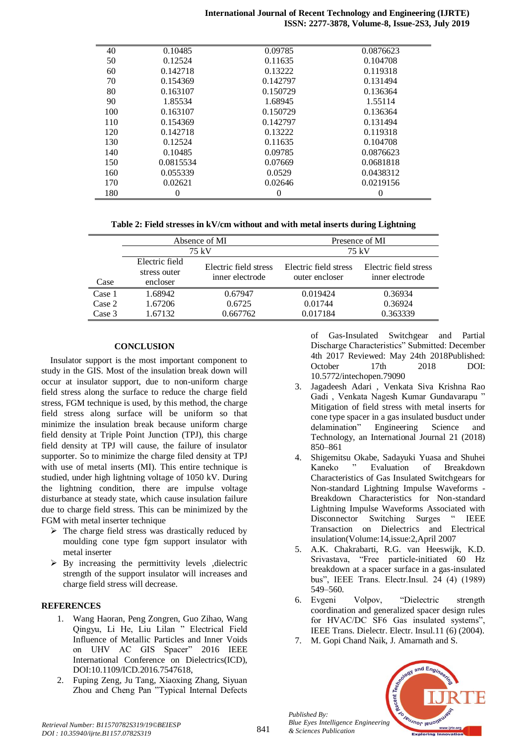#### **International Journal of Recent Technology and Engineering (IJRTE) ISSN: 2277-3878, Volume-8, Issue-2S3, July 2019**

| 40  | 0.10485   | 0.09785  | 0.0876623 |
|-----|-----------|----------|-----------|
| 50  | 0.12524   | 0.11635  | 0.104708  |
| 60  | 0.142718  | 0.13222  | 0.119318  |
| 70  | 0.154369  | 0.142797 | 0.131494  |
| 80  | 0.163107  | 0.150729 | 0.136364  |
| 90  | 1.85534   | 1.68945  | 1.55114   |
| 100 | 0.163107  | 0.150729 | 0.136364  |
| 110 | 0.154369  | 0.142797 | 0.131494  |
| 120 | 0.142718  | 0.13222  | 0.119318  |
| 130 | 0.12524   | 0.11635  | 0.104708  |
| 140 | 0.10485   | 0.09785  | 0.0876623 |
| 150 | 0.0815534 | 0.07669  | 0.0681818 |
| 160 | 0.055339  | 0.0529   | 0.0438312 |
| 170 | 0.02621   | 0.02646  | 0.0219156 |
| 180 | 0         | 0        |           |

**Table 2: Field stresses in kV/cm without and with metal inserts during Lightning**

|        | Absence of MI                  |                       | Presence of MI        |                       |  |
|--------|--------------------------------|-----------------------|-----------------------|-----------------------|--|
|        | 75 kV                          |                       | 75 kV                 |                       |  |
|        | Electric field<br>stress outer | Electric field stress | Electric field stress | Electric field stress |  |
| Case   | encloser                       | inner electrode       | outer encloser        | inner electrode       |  |
| Case 1 | 1.68942                        | 0.67947               | 0.019424              | 0.36934               |  |
| Case 2 | 1.67206                        | 0.6725                | 0.01744               | 0.36924               |  |
| Case 3 | 1.67132                        | 0.667762              | 0.017184              | 0.363339              |  |

## **CONCLUSION**

Insulator support is the most important component to study in the GIS. Most of the insulation break down will occur at insulator support, due to non-uniform charge field stress along the surface to reduce the charge field stress, FGM technique is used, by this method, the charge field stress along surface will be uniform so that minimize the insulation break because uniform charge field density at Triple Point Junction (TPJ), this charge field density at TPJ will cause, the failure of insulator supporter. So to minimize the charge filed density at TPJ with use of metal inserts (MI). This entire technique is studied, under high lightning voltage of 1050 kV. During the lightning condition, there are impulse voltage disturbance at steady state, which cause insulation failure due to charge field stress. This can be minimized by the FGM with metal inserter technique

- $\triangleright$  The charge field stress was drastically reduced by moulding cone type fgm support insulator with metal inserter
- $\triangleright$  By increasing the permittivity levels , dielectric strength of the support insulator will increases and charge field stress will decrease.

# **REFERENCES**

- 1. Wang Haoran, Peng Zongren, Guo Zihao, Wang Qingyu, Li He, Liu Lilan " Electrical Field Influence of Metallic Particles and Inner Voids on UHV AC GIS Spacer" 2016 IEEE International Conference on Dielectrics(ICD), DOI:10.1109/ICD.2016.7547618,
- 2. Fuping Zeng, Ju Tang, Xiaoxing Zhang, Siyuan Zhou and Cheng Pan "Typical Internal Defects

of Gas-Insulated Switchgear and Partial Discharge Characteristics" Submitted: December 4th 2017 Reviewed: May 24th 2018Published: October 17th 2018 DOI: 10.5772/intechopen.79090

- 3. Jagadeesh Adari , Venkata Siva Krishna Rao Gadi , Venkata Nagesh Kumar Gundavarapu " Mitigation of field stress with metal inserts for cone type spacer in a gas insulated busduct under delamination" Engineering Science and Technology, an International Journal 21 (2018) 850–861
- 4. Shigemitsu Okabe, Sadayuki Yuasa and Shuhei Kaneko " Evaluation of Breakdown Characteristics of Gas Insulated Switchgears for Non-standard Lightning Impulse Waveforms - Breakdown Characteristics for Non-standard Lightning Impulse Waveforms Associated with Disconnector Switching Surges " IEEE Transaction on Dielectrics and Electrical insulation(Volume:14,issue:2,April 2007
- 5. A.K. Chakrabarti, R.G. van Heeswijk, K.D. Srivastava, "Free particle-initiated 60 Hz breakdown at a spacer surface in a gas-insulated bus", IEEE Trans. Electr.Insul. 24 (4) (1989) 549–560.
- 6. Evgeni Volpov, "Dielectric strength coordination and generalized spacer design rules for HVAC/DC SF6 Gas insulated systems", IEEE Trans. Dielectr. Electr. Insul.11 (6) (2004).
- 7. M. Gopi Chand Naik, J. Amarnath and S.



*Published By:*